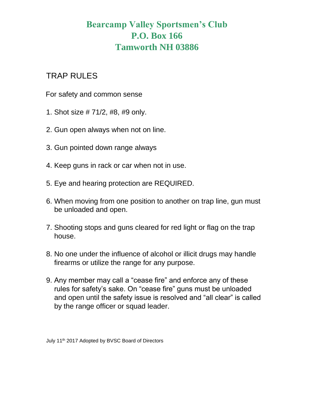## **Bearcamp Valley Sportsmen's Club P.O. Box 166 Tamworth NH 03886**

## TRAP RULES

For safety and common sense

- 1. Shot size # 71/2, #8, #9 only.
- 2. Gun open always when not on line.
- 3. Gun pointed down range always
- 4. Keep guns in rack or car when not in use.
- 5. Eye and hearing protection are REQUIRED.
- 6. When moving from one position to another on trap line, gun must be unloaded and open.
- 7. Shooting stops and guns cleared for red light or flag on the trap house.
- 8. No one under the influence of alcohol or illicit drugs may handle firearms or utilize the range for any purpose.
- 9. Any member may call a "cease fire" and enforce any of these rules for safety's sake. On "cease fire" guns must be unloaded and open until the safety issue is resolved and "all clear" is called by the range officer or squad leader.